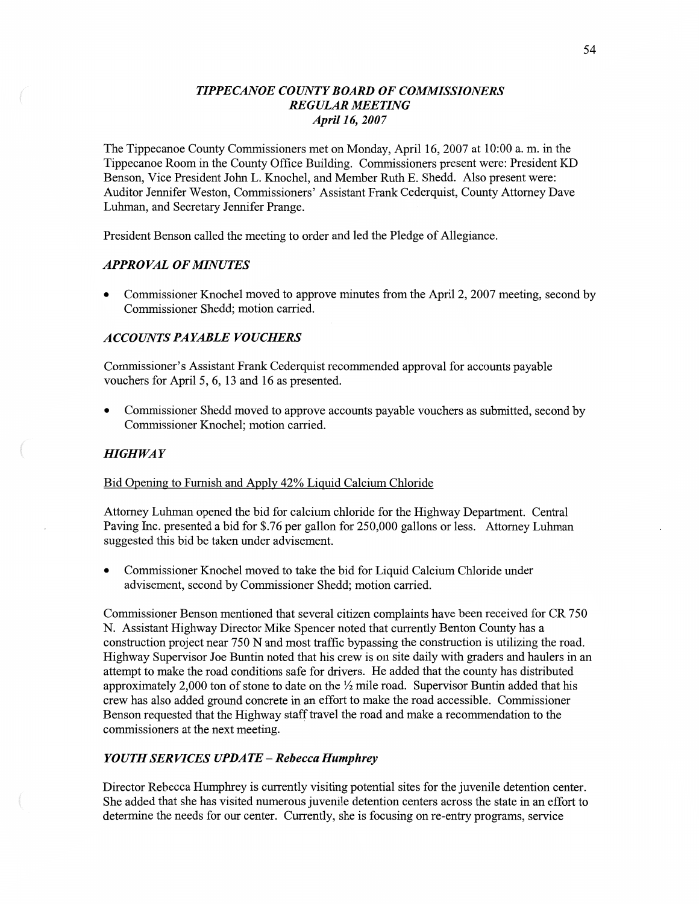# *TIPPECANOE COUNT Y BOARD* OF *COMMISSIONERS REGULAR MEETING April* 16, *2007*

The Tippecanoe County Commissioners met on Monday, April 16, 2007 at **10:00** a. m. in the Tippecanoe Room in the County Office Building. Commissioners present were: President KD Benson, Vice President John L. Knochel, and Member Ruth B. Shedd. Also present were: Auditor Jennifer Weston, Commissioners' Assistant Frank Cederquist, County Attorney Dave Luhman, and Secretary Jennifer Prange.

President Benson called the meeting to order and led the Pledge of Allegiance.

# *APPROVAL* OF *MINUTES*

**0** Commissioner Knochel **moved** to approve minutes from the April 2, 2007 meeting, second by Commissioner Shedd; motion carried.

# *ACCOUNTS* PA *YABLE VOUCHERS*

Commissioner's Assistant Frank Cederquist recommended approval for accounts payable vouchers for April 5, 6, 13 and 16 as presented.

*0* Commissioner Shedd moved to approve accounts payable vouchers as submitted, second by Commissioner Knochel; **motion** carried.

# $H$ *IGHWAY*

## Bid Qpening to Furnish and Apply 42% Liguid Calcium Chloride

Attorney Luhman opened the bid for calcium chloride for the Highway Department. Central Paving Inc. presented a bid for \$.76 per gallon for 250,000 gallons or less. Attorney Luhman suggested this bid be taken under advisement.

**0** Commissioner Knochel **moved** to take the bid for Liquid Calcium Chloride under advisement, second by Commissioner Shedd; motion carried.

Commissioner Benson mentioned that several citizen complaints have been received for CR 750 N. Assistant Highway Director Mike Spencer noted that currently Benton County has a construction project near 750 N and most traffic bypassing the **construction** is utilizing the road. Highway Supervisor Joe Buntin noted that his crew is on site daily with graders and haulers in an attempt to make the road conditions safe for drivers. He added that the county has distributed approximately 2,000 ton of stone to date on the  $\frac{1}{2}$  mile road. Supervisor Buntin added that his crew has also added ground concrete in an effort to make the road accessible. Commissioner Benson requested that the Highway staff travel the road and **make** a recommendation to the commissioners at the next meeting.

#### *YOUTH SERVICES UPDATE* **—** *Rebecca Humphrey*

Director Rebecca Humphrey is currently visiting potential sites for the juvenile detention center. She added that she has visited numerous juvenile detention centers across the state in an effort to determine the needs for our center. Currently, she is focusing on re-entry programs, service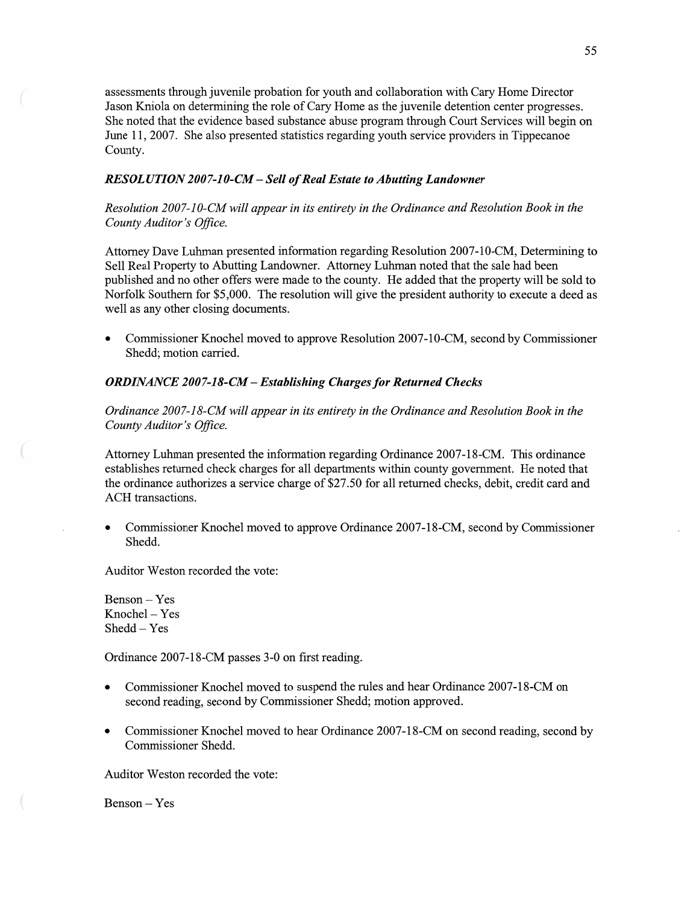assessments through juvenile probation for youth and collaboration with Cary Home Director Jason Kniola on determining the role of Cary Home as the juvenile detention center progresses. She noted that the evidence based substance abuse program through Court Services will begin on June 11, 2007. She also presented statistics regarding youth service providers in Tippecanoe County.

## *RESOLUTION 2007-10-CM - Sell of Real Estate to Abutting Landowner*

*Resolution 2007—10—CM will appear* in its *entirety* in the *Ordinance* and *Resolution Book* in the *County Auditor's Oflice.* 

Attorney **Dave** Luhman presented information regarding Resolution 2007-10-CM, Determining to Sell Real Property to Abutting Landowner. Attorney Luhman noted that the sale had been published and no other offers were made to the county. He added **that** the property will be sold to Norfolk Southern for \$5,000. The resolution will give the president authority to execute a deed as well as any other closing documents.

**0** Commissioner Knochel moved to approve Resolution 2007—10-CM, second by Commissioner Shedd; **motion** cam'ed.

## *ORDINANCE* 200 *7-18-CM* **—** *Establishing Charges* for *Returned Checks*

*Ordinance 2007-18—CM will appear* in its *entirety* in the *Ordinance* and *Resolution Book* in the County Auditor's Office.

Attorney Luhman presented the information regarding Ordinance 2007-18-CM. **This** ordinance establishes returned check charges for all departments within county government. He noted that the ordinance authorizes a service charge of \$27.50 for all returned checks, debit, credit card and ACH transactions.

**0** Commissioner Knochel **moved** to approve Ordinance 2007-18-CM, second by Commissioner Shedd.

Auditor Weston recorded the vote:

Benson — Yes **Knochel** — Yes Shedd — Yes

 $\big($ 

Ordinance 2007-18-CM passes 3-0 on first reading.

- **0** Commissioner Knochel moved to suspend the rules and hear Ordinance 2007-18-CM on second reading, second by Commissioner Shedd; motion approved.
- **0** Commissioner **Knochel** moved to hear Ordinance 2007-18-CM on second reading, second by Commissioner Shedd.

**Auditor** Weston recorded the vote:

**Benson —** Yes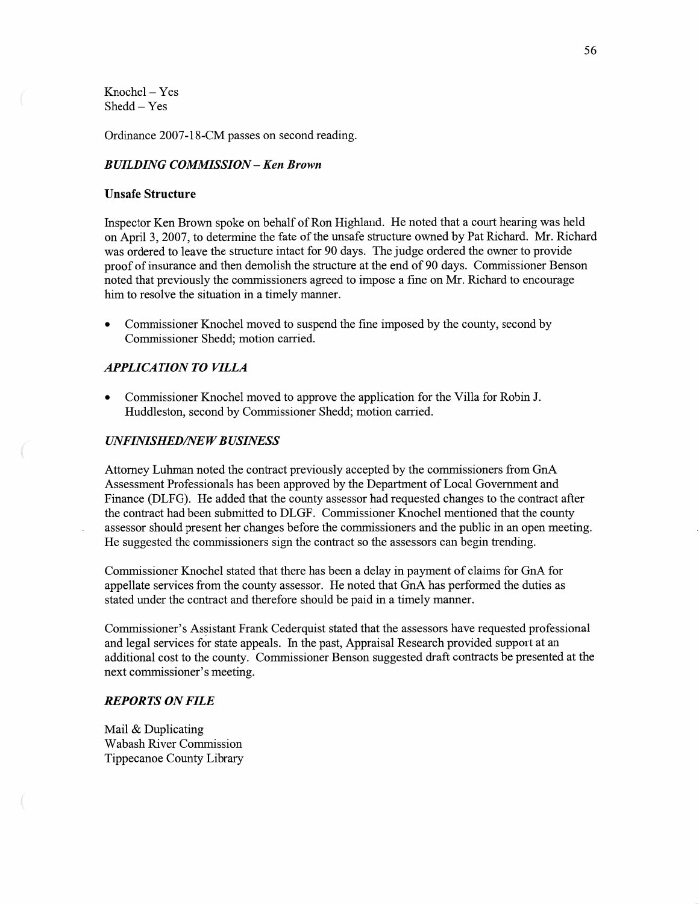$Knochel - Yes$ Shedd **—** Yes

Ordinance 2007-18-CM passes on second reading.

# *BUILDING COMMISSION* **—** Ken *Brown*

#### **Unsafe Structure**

Inspector Ken Brown spoke on behalf of Ron Highland. He noted that a court hearing was held on April 3, 2007, to determine the fate of the unsafe structure owned by Pat Richard. Mr. Richard was ordered to leave the structure intact for 90 days. The judge ordered the owner to provide proof of insurance and then demolish the structure at the end of 90 days. Commissioner Benson noted that previously the commissioners agreed to impose a fine on Mr. Richard to encourage him to resolve the situation in a timely manner.

*0* Commissioner Knochel **moved** to suspend the fine imposed by the county, second by Commissioner Shedd; **motion** carried.

#### *APPLICATION TO VILLA*

**0** Commissioner Knochel moved to approve the application for the Villa for Robin J. **Huddleston,** second by Commissioner Shedd; **motion** carried.

#### *UNFINISHEDflVE W B USINESS*

Attorney **Luhman** noted the contract previously accepted by the commissioners from GnA Assessment Professionals has been approved by the Department of Local Government and Finance (DLFG). He added that the county assessor had requested changes to the contract after the contract had been submitted to DLGF. Commissioner Knochel mentioned that the county assessor should present her changes before the **commissioners** and the public in an open meeting. He suggested the commissioners sign the contract so the assessors can begin trending.

Commissioner Knochel stated that there has been a delay in payment of claims for GnA for appellate services from the county assessor. He noted that GnA has performed the duties as stated under the contract and therefore should be paid in a timely manner.

Commissioner's Assistant Frank Cederquist stated that the assessors have requested professional and legal services for state appeals. In the past, Appraisal Research provided support at an additional cost to the county. Commissioner Benson suggested draft contracts be presented at the next commissioner's meeting.

#### *REPORTS* ON *FILE*

Mail & Duplicating Wabash River Commission Tippecanoe County Library